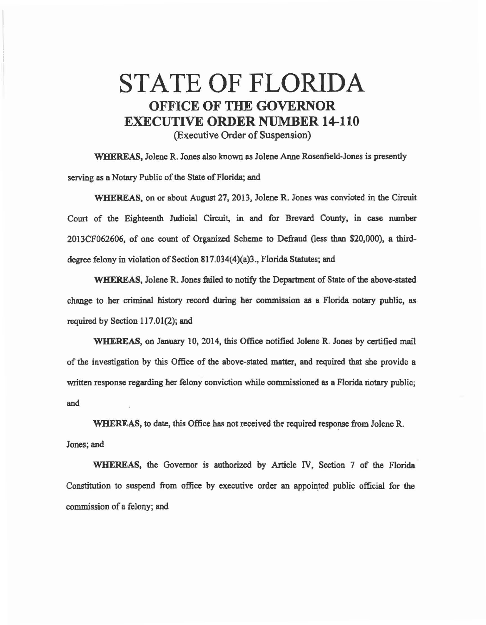## STATE OF FLORIDA OFFICE **OF THE GOVERNOR**  EXECUTIVE **ORDER** NUMBER **14-110**  (Executive Order of Suspension)

WHEREAS, Jolene R. Jones also known as Jolene Anne Rosenfield-Jones is presently serving as a Notary Public of the State of Florida; and

\\lHEREAS, on or about August 27, 2013, Jolene R. Jones was convicted in the Circuit Court of the Eighteenth Judicial Circuit, in and for Brevard County, in case number 2013CF062606, of one count of Organized Scheme to Defraud (less than \$20,000), a thirddegree felony in violation of Section 817.034(4)(a)3., Florida Statutes; and

WHEREAS, Jolene R. Jones failed to notify the Department of State of the above-stated change to her criminal history record during her commission as a Florida notary public, as required by Section 117.01(2); and

WHEREAS, on January 10, 2014, this Office notified Jolene R. Jones by certified mail of the investigation by this Office of the above-stated matter, and required that she provide a written response regarding her felony conviction while commissioned as a Florida notary public; and

WHEREAS, to date, this Office has not received the required response from Jolene R. Jones; and

WHEREAS, the Governor is authorized by Article IV, Section 7 of the Florida Constitution to suspend from office by executive order an appointed public official for the commission of a felony; and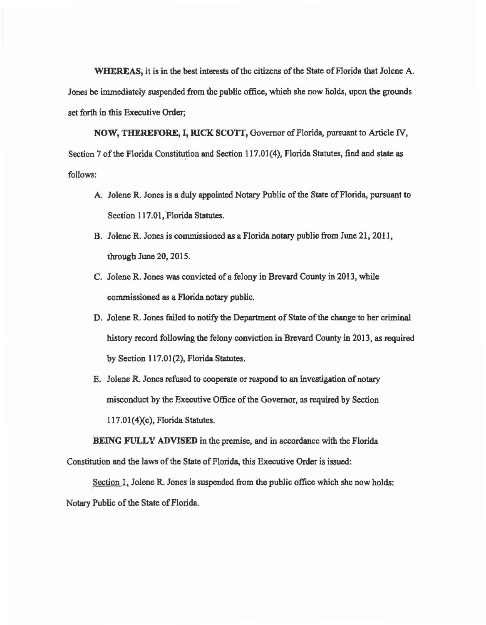WHEREAS, it is in the best interests of the citizens of the State of Florida that Jolene A. Jones be immediately suspended from the public office, which she now liolds, upon the grounds set forth in this Executive Order;

NOW, THEREFORE, I, RICK SCOTI, Governor of Florida, pursuant to Article *N,*  Section 7 of the Florida Constitution and Section 117.01(4), Florida Statutes, find and state as follows:

- A. Jolene R. Jones is a duly appointed Notary Public of the State of Florida, pursuant to Section 117.01, Florida Statutes.
- B. Jolene R. Jones is commissioned es a Florida notary public from June 21, 2011, through June 20, 2015.
- C. Jolene R. Jones was convicted of a felony in Brevard County in 2013, while commissioned as a Florida notary public.
- D. Jolene R. Jones failed to notify the Department of State of the change to her criminal history record following the felony conviction in Brevard County in 2013, as required by Section 117.01(2), Florida Statutes.
- E. Jolene R. Jones refused to cooperate or respond to an investigation of notary misconduct by the Executive Office of the Governor, as required by Section l 17.01(4)(c), Florida Statutes.

BEING FULLY ADVISED in the premise, and in accordance with the Florida Constitution and the laws of the State of Florida, this Executive Order is issued:

Section 1. Jolene R. Jones is suspended from the public office which she now holds: Notary Public of the State of Florida.